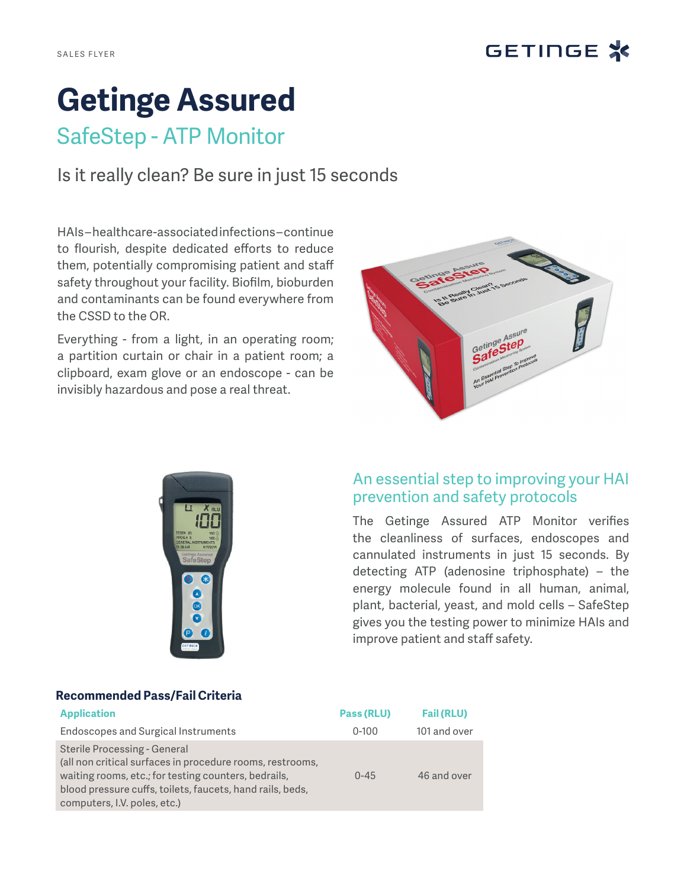

# **Getinge Assured**

## SafeStep - ATP Monitor

Is it really clean? Be sure in just 15 seconds

HAIs – healthcare-associated infections – continue to flourish, despite dedicated efforts to reduce them, potentially compromising patient and staff safety throughout your facility. Biofilm, bioburden and contaminants can be found everywhere from the CSSD to the OR.

Everything - from a light, in an operating room; a partition curtain or chair in a patient room; a clipboard, exam glove or an endoscope - can be invisibly hazardous and pose a real threat.





### An essential step to improving your HAI prevention and safety protocols

The Getinge Assured ATP Monitor verifies the cleanliness of surfaces, endoscopes and cannulated instruments in just 15 seconds. By detecting ATP (adenosine triphosphate) – the energy molecule found in all human, animal, plant, bacterial, yeast, and mold cells – SafeStep gives you the testing power to minimize HAIs and improve patient and staff safety.

#### **Recommended Pass/Fail Criteria**

| <b>Application</b>                                                                                                                                                                                                                             | Pass (RLU) | <b>Fail (RLU)</b> |
|------------------------------------------------------------------------------------------------------------------------------------------------------------------------------------------------------------------------------------------------|------------|-------------------|
| Endoscopes and Surgical Instruments                                                                                                                                                                                                            | $0 - 100$  | 101 and over      |
| Sterile Processing - General<br>(all non critical surfaces in procedure rooms, restrooms,<br>waiting rooms, etc.; for testing counters, bedrails,<br>blood pressure cuffs, toilets, faucets, hand rails, beds,<br>computers, I.V. poles, etc.) | $0 - 45$   | 46 and over       |